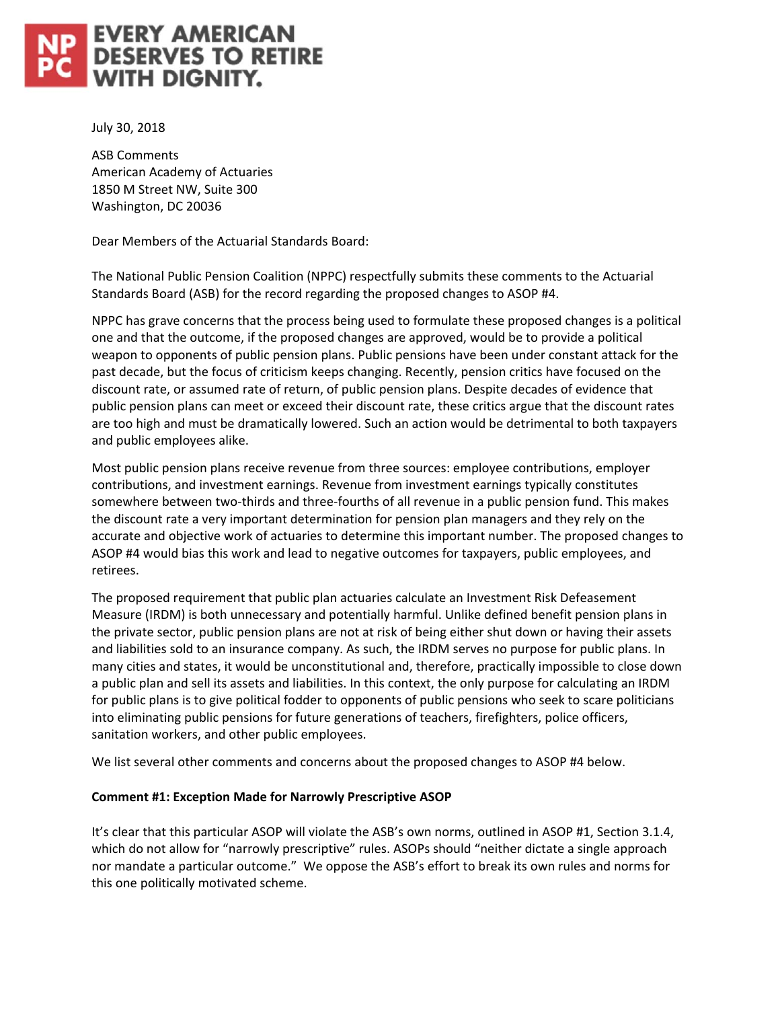# **EVERY AMERICAN<br>DESERVES TO RETIRE WITH DIGNITY.**

July 30, 2018

ASB Comments American Academy of Actuaries 1850 M Street NW, Suite 300 Washington, DC 20036

Dear Members of the Actuarial Standards Board:

The National Public Pension Coalition (NPPC) respectfully submits these comments to the Actuarial Standards Board (ASB) for the record regarding the proposed changes to ASOP #4.

NPPC has grave concerns that the process being used to formulate these proposed changes is a political one and that the outcome, if the proposed changes are approved, would be to provide a political weapon to opponents of public pension plans. Public pensions have been under constant attack for the past decade, but the focus of criticism keeps changing. Recently, pension critics have focused on the discount rate, or assumed rate of return, of public pension plans. Despite decades of evidence that public pension plans can meet or exceed their discount rate, these critics argue that the discount rates are too high and must be dramatically lowered. Such an action would be detrimental to both taxpayers and public employees alike.

Most public pension plans receive revenue from three sources: employee contributions, employer contributions, and investment earnings. Revenue from investment earnings typically constitutes somewhere between two-thirds and three-fourths of all revenue in a public pension fund. This makes the discount rate a very important determination for pension plan managers and they rely on the accurate and objective work of actuaries to determine this important number. The proposed changes to ASOP #4 would bias this work and lead to negative outcomes for taxpayers, public employees, and retirees.

The proposed requirement that public plan actuaries calculate an Investment Risk Defeasement Measure (IRDM) is both unnecessary and potentially harmful. Unlike defined benefit pension plans in the private sector, public pension plans are not at risk of being either shut down or having their assets and liabilities sold to an insurance company. As such, the IRDM serves no purpose for public plans. In many cities and states, it would be unconstitutional and, therefore, practically impossible to close down a public plan and sell its assets and liabilities. In this context, the only purpose for calculating an IRDM for public plans is to give political fodder to opponents of public pensions who seek to scare politicians into eliminating public pensions for future generations of teachers, firefighters, police officers, sanitation workers, and other public employees.

We list several other comments and concerns about the proposed changes to ASOP #4 below.

## **Comment #1: Exception Made for Narrowly Prescriptive ASOP**

It's clear that this particular ASOP will violate the ASB's own norms, outlined in ASOP #1, Section 3.1.4, which do not allow for "narrowly prescriptive" rules. ASOPs should "neither dictate a single approach nor mandate a particular outcome." We oppose the ASB's effort to break its own rules and norms for this one politically motivated scheme.